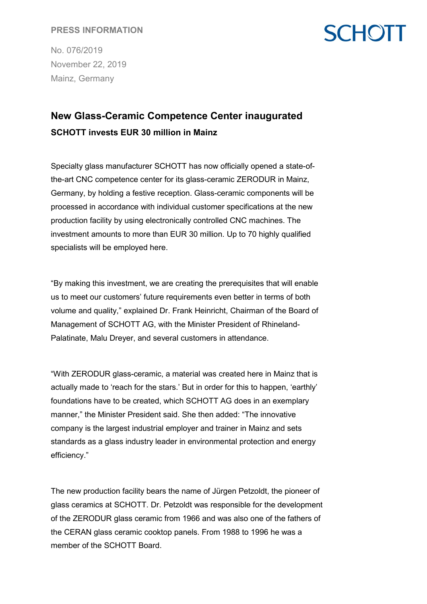#### **PRESS INFORMATION**

No. 076/2019 November 22, 2019 Mainz, Germany

## **SCHOTT**

### **New Glass-Ceramic Competence Center inaugurated SCHOTT invests EUR 30 million in Mainz**

Specialty glass manufacturer SCHOTT has now officially opened a state-ofthe-art CNC competence center for its glass-ceramic ZERODUR in Mainz, Germany, by holding a festive reception. Glass-ceramic components will be processed in accordance with individual customer specifications at the new production facility by using electronically controlled CNC machines. The investment amounts to more than EUR 30 million. Up to 70 highly qualified specialists will be employed here.

"By making this investment, we are creating the prerequisites that will enable us to meet our customers' future requirements even better in terms of both volume and quality," explained Dr. Frank Heinricht, Chairman of the Board of Management of SCHOTT AG, with the Minister President of Rhineland-Palatinate, Malu Dreyer, and several customers in attendance.

"With ZERODUR glass-ceramic, a material was created here in Mainz that is actually made to 'reach for the stars.' But in order for this to happen, 'earthly' foundations have to be created, which SCHOTT AG does in an exemplary manner," the Minister President said. She then added: "The innovative company is the largest industrial employer and trainer in Mainz and sets standards as a glass industry leader in environmental protection and energy efficiency."

The new production facility bears the name of Jürgen Petzoldt, the pioneer of glass ceramics at SCHOTT. Dr. Petzoldt was responsible for the development of the ZERODUR glass ceramic from 1966 and was also one of the fathers of the CERAN glass ceramic cooktop panels. From 1988 to 1996 he was a member of the SCHOTT Board.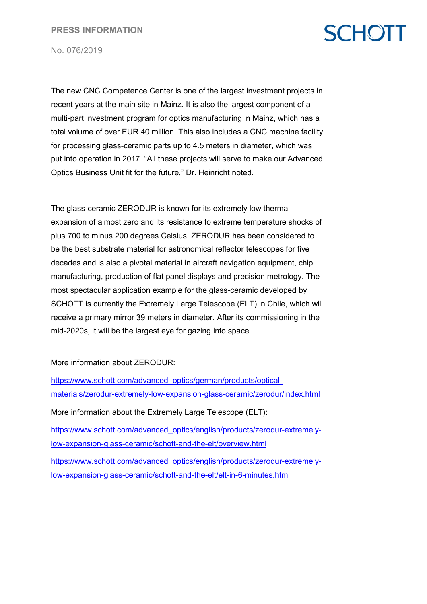# **SCHOTT**

No. 076/2019

The new CNC Competence Center is one of the largest investment projects in recent years at the main site in Mainz. It is also the largest component of a multi-part investment program for optics manufacturing in Mainz, which has a total volume of over EUR 40 million. This also includes a CNC machine facility for processing glass-ceramic parts up to 4.5 meters in diameter, which was put into operation in 2017. "All these projects will serve to make our Advanced Optics Business Unit fit for the future," Dr. Heinricht noted.

The glass-ceramic ZERODUR is known for its extremely low thermal expansion of almost zero and its resistance to extreme temperature shocks of plus 700 to minus 200 degrees Celsius. ZERODUR has been considered to be the best substrate material for astronomical reflector telescopes for five decades and is also a pivotal material in aircraft navigation equipment, chip manufacturing, production of flat panel displays and precision metrology. The most spectacular application example for the glass-ceramic developed by SCHOTT is currently the Extremely Large Telescope (ELT) in Chile, which will receive a primary mirror 39 meters in diameter. After its commissioning in the mid-2020s, it will be the largest eye for gazing into space.

More information about ZERODUR:

[https://www.schott.com/advanced\\_optics/german/products/optical](https://www.schott.com/advanced_optics/german/products/optical-materials/zerodur-extremely-low-expansion-glass-ceramic/zerodur/index.html)[materials/zerodur-extremely-low-expansion-glass-ceramic/zerodur/index.html](https://www.schott.com/advanced_optics/german/products/optical-materials/zerodur-extremely-low-expansion-glass-ceramic/zerodur/index.html)  More information about the Extremely Large Telescope (ELT): [https://www.schott.com/advanced\\_optics/english/products/zerodur-extremely](https://www.schott.com/advanced_optics/english/products/zerodur-extremely-low-expansion-glass-ceramic/schott-and-the-elt/overview.html)[low-expansion-glass-ceramic/schott-and-the-elt/overview.html](https://www.schott.com/advanced_optics/english/products/zerodur-extremely-low-expansion-glass-ceramic/schott-and-the-elt/overview.html) [https://www.schott.com/advanced\\_optics/english/products/zerodur-extremely](https://www.schott.com/advanced_optics/english/products/zerodur-extremely-low-expansion-glass-ceramic/schott-and-the-elt/elt-in-6-minutes.html)[low-expansion-glass-ceramic/schott-and-the-elt/elt-in-6-minutes.html](https://www.schott.com/advanced_optics/english/products/zerodur-extremely-low-expansion-glass-ceramic/schott-and-the-elt/elt-in-6-minutes.html)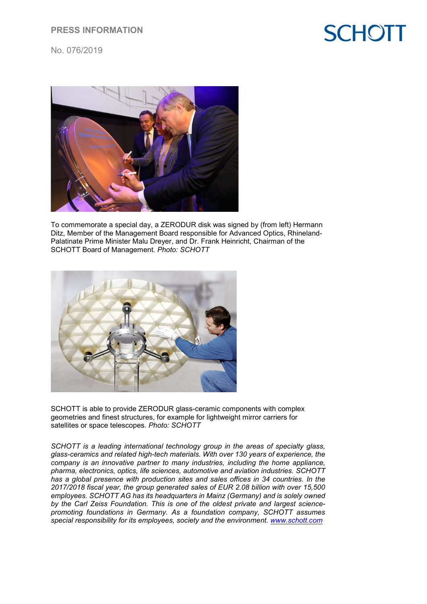### **PRESS INFORMATION**



No. 076/2019



To commemorate a special day, a ZERODUR disk was signed by (from left) Hermann Ditz, Member of the Management Board responsible for Advanced Optics, Rhineland-Palatinate Prime Minister Malu Dreyer, and Dr. Frank Heinricht, Chairman of the SCHOTT Board of Management. *Photo: SCHOTT* 



SCHOTT is able to provide ZERODUR glass-ceramic components with complex geometries and finest structures, for example for lightweight mirror carriers for satellites or space telescopes. *Photo: SCHOTT*

*SCHOTT is a leading international technology group in the areas of specialty glass, glass-ceramics and related high-tech materials. With over 130 years of experience, the company is an innovative partner to many industries, including the home appliance, pharma, electronics, optics, life sciences, automotive and aviation industries. SCHOTT has a global presence with production sites and sales offices in 34 countries. In the 2017/2018 fiscal year, the group generated sales of EUR 2.08 billion with over 15,500 employees. SCHOTT AG has its headquarters in Mainz (Germany) and is solely owned by the Carl Zeiss Foundation. This is one of the oldest private and largest sciencepromoting foundations in Germany. As a foundation company, SCHOTT assumes special responsibility for its employees, society and the environment. [www.schott.com](http://www.schott.com/)*